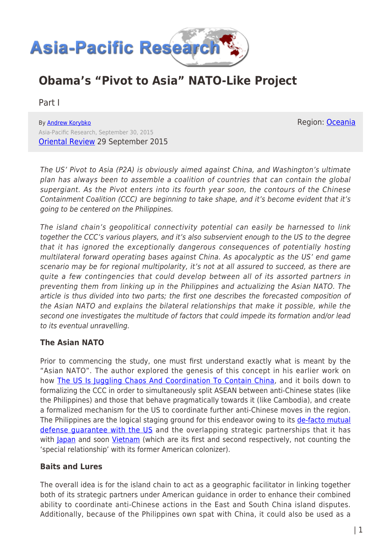

# **Obama's "Pivot to Asia" NATO-Like Project**

Part I

By [Andrew Korybko](https://www.asia-pacificresearch.com/author/andrew-korybko) Asia-Pacific Research, September 30, 2015 [Oriental Review](http://orientalreview.org/2015/09/29/asian-nato-like-project-to-be-stopped-i/) 29 September 2015

The US' Pivot to Asia (P2A) is obviously aimed against China, and Washington's ultimate plan has always been to assemble a coalition of countries that can contain the global supergiant. As the Pivot enters into its fourth year soon, the contours of the Chinese Containment Coalition (CCC) are beginning to take shape, and it's become evident that it's going to be centered on the Philippines.

The island chain's geopolitical connectivity potential can easily be harnessed to link together the CCC's various players, and it's also subservient enough to the US to the degree that it has ignored the exceptionally dangerous consequences of potentially hosting multilateral forward operating bases against China. As apocalyptic as the US' end game scenario may be for regional multipolarity, it's not at all assured to succeed, as there are quite a few contingencies that could develop between all of its assorted partners in preventing them from linking up in the Philippines and actualizing the Asian NATO. The article is thus divided into two parts; the first one describes the forecasted composition of the Asian NATO and explains the bilateral relationships that make it possible, while the second one investigates the multitude of factors that could impede its formation and/or lead to its eventual unravelling.

# **The Asian NATO**

Prior to commencing the study, one must first understand exactly what is meant by the "Asian NATO". The author explored the genesis of this concept in his earlier work on how [The US Is Juggling Chaos And Coordination To Contain China](http://orientalreview.org/2015/03/16/the-us-is-juggling-chaos-and-coordination-in-order-to-contain-china/), and it boils down to formalizing the CCC in order to simultaneously split ASEAN between anti-Chinese states (like the Philippines) and those that behave pragmatically towards it (like Cambodia), and create a formalized mechanism for the US to coordinate further anti-Chinese moves in the region. The Philippines are the logical staging ground for this endeavor owing to its [de-facto mutual](http://www.gov.ph/2014/04/29/document-enhanced-defense-cooperation-agreement/) defense quarantee with the US and the overlapping strategic partnerships that it has with [Japan](http://thediplomat.com/2015/06/japan-philippines-declare-strengthened-strategic-partnership/) and soon *[Vietnam](http://thediplomat.com/2015/09/philippines-vietnam-to-ink-strategic-partnership-by-end-of-2015/)* (which are its first and second respectively, not counting the 'special relationship' with its former American colonizer).

### **Baits and Lures**

The overall idea is for the island chain to act as a geographic facilitator in linking together both of its strategic partners under American guidance in order to enhance their combined ability to coordinate anti-Chinese actions in the East and South China island disputes. Additionally, because of the Philippines own spat with China, it could also be used as a

Region: [Oceania](https://www.asia-pacificresearch.com/region/as-oceania)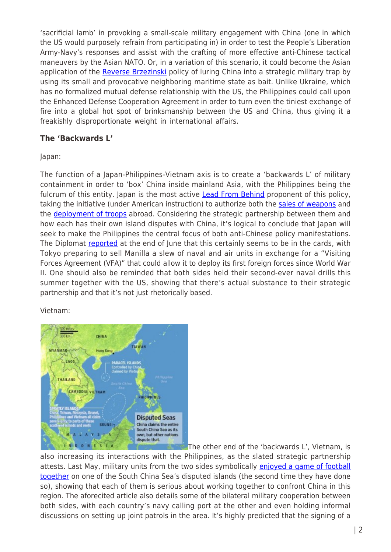'sacrificial lamb' in provoking a small-scale military engagement with China (one in which the US would purposely refrain from participating in) in order to test the People's Liberation Army-Navy's responses and assist with the crafting of more effective anti-Chinese tactical maneuvers by the Asian NATO. Or, in a variation of this scenario, it could become the Asian application of the [Reverse Brzezinski](http://orientalreview.org/2014/06/22/the-reverse-brzezinski-the-ultimate-eurasian-dilemma-i/) policy of luring China into a strategic military trap by using its small and provocative neighboring maritime state as bait. Unlike Ukraine, which has no formalized mutual defense relationship with the US, the Philippines could call upon the Enhanced Defense Cooperation Agreement in order to turn even the tiniest exchange of fire into a global hot spot of brinksmanship between the US and China, thus giving it a freakishly disproportionate weight in international affairs.

### **The 'Backwards L'**

### Japan:

The function of a Japan-Philippines-Vietnam axis is to create a 'backwards L' of military containment in order to 'box' China inside mainland Asia, with the Philippines being the fulcrum of this entity. Japan is the most active **[Lead From Behind](http://sputniknews.com/analysis/20150129/1013596377.html)** proponent of this policy, taking the initiative (under American instruction) to authorize both the [sales of weapons](http://www.nytimes.com/2015/07/13/business/international/with-ban-on-exports-lifted-japan-arms-makers-cautiously-market-wares-abroad.html?_r=0) and the **[deployment of troops](http://edition.cnn.com/2015/09/18/asia/japan-military-constitution/)** abroad. Considering the strategic partnership between them and how each has their own island disputes with China, it's logical to conclude that Japan will seek to make the Philippines the central focus of both anti-Chinese policy manifestations. The Diplomat [reported](http://thediplomat.com/2015/06/whats-next-for-japan-philippines-defense-ties/) at the end of June that this certainly seems to be in the cards, with Tokyo preparing to sell Manilla a slew of naval and air units in exchange for a "Visiting Forces Agreement (VFA)" that could allow it to deploy its first foreign forces since World War II. One should also be reminded that both sides held their second-ever naval drills this summer together with the US, showing that there's actual substance to their strategic partnership and that it's not just rhetorically based.

### Vietnam:



The other end of the 'backwards L', Vietnam, is

also increasing its interactions with the Philippines, as the slated strategic partnership attests. Last May, military units from the two sides symbolically [enjoyed a game of football](http://www.reuters.com/article/2015/05/27/us-southchinasea-philippines-vietnam-idUSKBN0OC0HT20150527) [together](http://www.reuters.com/article/2015/05/27/us-southchinasea-philippines-vietnam-idUSKBN0OC0HT20150527) on one of the South China Sea's disputed islands (the second time they have done so), showing that each of them is serious about working together to confront China in this region. The aforecited article also details some of the bilateral military cooperation between both sides, with each country's navy calling port at the other and even holding informal discussions on setting up joint patrols in the area. It's highly predicted that the signing of a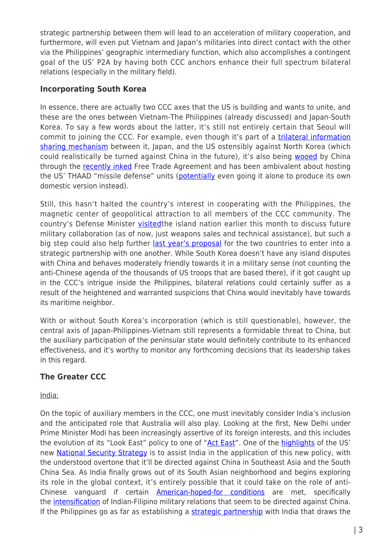strategic partnership between them will lead to an acceleration of military cooperation, and furthermore, will even put Vietnam and Japan's militaries into direct contact with the other via the Philippines' geographic intermediary function, which also accomplishes a contingent goal of the US' P2A by having both CCC anchors enhance their full spectrum bilateral relations (especially in the military field).

### **Incorporating South Korea**

In essence, there are actually two CCC axes that the US is building and wants to unite, and these are the ones between Vietnam-The Philippines (already discussed) and Japan-South Korea. To say a few words about the latter, it's still not entirely certain that Seoul will commit to joining the CCC. For example, even though it's part of a [trilateral information](http://sputniknews.com/world/20141224/1013371366.html) [sharing mechanism](http://sputniknews.com/world/20141224/1013371366.html) between it, Japan, and the US ostensibly against North Korea (which could realistically be turned against China in the future), it's also being [wooed](http://sputniknews.com/columnists/20150320/1019793780.html) by China through the [recently inked](http://thediplomat.com/2015/06/its-official-china-south-korea-sign-free-trade-agreement/) Free Trade Agreement and has been ambivalent about hosting the US' THAAD "missile defense" units [\(potentially](http://www.defenseworld.net/news/14131/South_Korea_To_Develop_Missile_Defense_System_Instead_of_Buying_US_THAAD#.VggImd_tmko) even going it alone to produce its own domestic version instead).

Still, this hasn't halted the country's interest in cooperating with the Philippines, the magnetic center of geopolitical attraction to all members of the CCC community. The country's Defense Minister *visited*the island nation earlier this month to discuss future military collaboration (as of now, just weapons sales and technical assistance), but such a big step could also help further [last year's proposal](http://thediplomat.com/2014/12/philippines-south-korea-eye-stronger-partnership-amid-chinese-protests/) for the two countries to enter into a strategic partnership with one another. While South Korea doesn't have any island disputes with China and behaves moderately friendly towards it in a military sense (not counting the anti-Chinese agenda of the thousands of US troops that are based there), if it got caught up in the CCC's intrigue inside the Philippines, bilateral relations could certainly suffer as a result of the heightened and warranted suspicions that China would inevitably have towards its maritime neighbor.

With or without South Korea's incorporation (which is still questionable), however, the central axis of Japan-Philippines-Vietnam still represents a formidable threat to China, but the auxiliary participation of the peninsular state would definitely contribute to its enhanced effectiveness, and it's worthy to monitor any forthcoming decisions that its leadership takes in this regard.

# **The Greater CCC**

India:

On the topic of auxiliary members in the CCC, one must inevitably consider India's inclusion and the anticipated role that Australia will also play. Looking at the first, New Delhi under Prime Minister Modi has been increasingly assertive of its foreign interests, and this includes the evolution of its "Look East" policy to one of "[Act East](http://www.dw.com/en/from-look-east-to-act-east-india-shifts-focus/a-18141462)". One of the [highlights](http://sputniknews.com/columnists/20150211/1018094052.html) of the US' new [National Security Strategy](https://www.whitehouse.gov/sites/default/files/docs/2015_national_security_strategy.pdf) is to assist India in the application of this new policy, with the understood overtone that it'll be directed against China in Southeast Asia and the South China Sea. As India finally grows out of its South Asian neighborhood and begins exploring its role in the global context, it's entirely possible that it could take on the role of anti-Chinese vanguard if certain **American-hoped-for conditions** are met, specifically the *intensification* of Indian-Filipino military relations that seem to be directed against China. If the Philippines go as far as establishing a [strategic partnership](http://www.fsi.gov.ph/the-philippines-and-india-strategic-partners-by-jemimah-joanne-c-villaruel-vol-ii-no-20-july-2015/) with India that draws the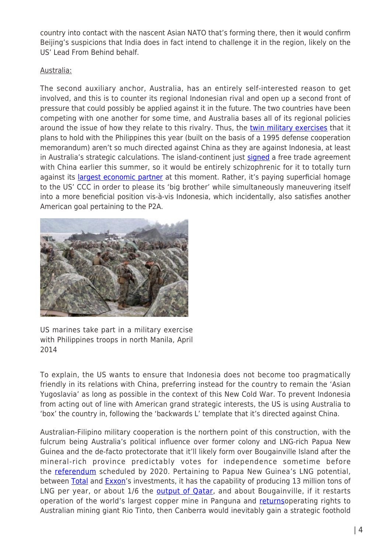country into contact with the nascent Asian NATO that's forming there, then it would confirm Beijing's suspicions that India does in fact intend to challenge it in the region, likely on the US' Lead From Behind behalf.

### Australia:

The second auxiliary anchor, Australia, has an entirely self-interested reason to get involved, and this is to counter its regional Indonesian rival and open up a second front of pressure that could possibly be applied against it in the future. The two countries have been competing with one another for some time, and Australia bases all of its regional policies around the issue of how they relate to this rivalry. Thus, the [twin military exercises](http://thediplomat.com/2015/09/australia-philippines-to-hold-joint-military-exercises/) that it plans to hold with the Philippines this year (built on the basis of a 1995 defense cooperation memorandum) aren't so much directed against China as they are against Indonesia, at least in Australia's strategic calculations. The island-continent just [signed](http://www.austrade.gov.au/Australian/Export/Trade-Agreements/chafta) a free trade agreement with China earlier this summer, so it would be entirely schizophrenic for it to totally turn against its *largest economic partner* at this moment. Rather, it's paying superficial homage to the US' CCC in order to please its 'big brother' while simultaneously maneuvering itself into a more beneficial position vis-à-vis Indonesia, which incidentally, also satisfies another American goal pertaining to the P2A.



US marines take part in a military exercise with Philippines troops in north Manila, April 2014

To explain, the US wants to ensure that Indonesia does not become too pragmatically friendly in its relations with China, preferring instead for the country to remain the 'Asian Yugoslavia' as long as possible in the context of this New Cold War. To prevent Indonesia from acting out of line with American grand strategic interests, the US is using Australia to 'box' the country in, following the 'backwards L' template that it's directed against China.

Australian-Filipino military cooperation is the northern point of this construction, with the fulcrum being Australia's political influence over former colony and LNG-rich Papua New Guinea and the de-facto protectorate that it'll likely form over Bougainville Island after the mineral-rich province predictably votes for independence sometime before the [referendum](http://www.defence.gov.au/ADC/Publications/IndoPac/Woodbury%20paper%20(IPSD%20version).pdf) scheduled by 2020. Pertaining to Papua New Guinea's LNG potential, between [Total](http://www.reuters.com/article/2015/04/22/total-papua-lng-idUSL4N0XJ3OV20150422) and [Exxon](http://pnglng.com/)'s investments, it has the capability of producing 13 million tons of LNG per year, or about 1/6 the [output of Qatar](http://www.bloomberg.com/news/articles/2015-04-07/qatar-lng-exports-shrink-from-record-as-australia-u-s-expand), and about Bougainville, if it restarts operation of the world's largest copper mine in Panguna and [returnso](http://www.radionz.co.nz/international/pacific-news/275750/bougainville-ready-to-talk-mining-with-rio-tinto)perating rights to Australian mining giant Rio Tinto, then Canberra would inevitably gain a strategic foothold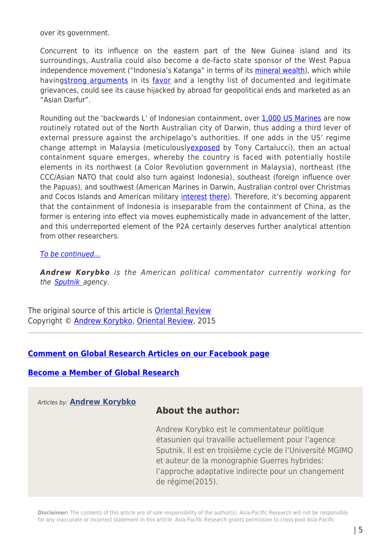over its government.

Concurrent to its influence on the eastern part of the New Guinea island and its surroundings, Australia could also become a de-facto state sponsor of the West Papua independence movement ("Indonesia's Katanga" in terms of its [mineral wealth](https://www.cs.utexas.edu/users/cline/papua/wealth.htm)), which while having[strong arguments](http://www.thejakartapost.com/news/2010/05/14/resourcerich-west-papua-who-benefits.html) in its [favor](http://www.aljazeera.com/indepth/opinion/2011/08/201182814172453998.html) and a lengthy list of documented and legitimate grievances, could see its cause hijacked by abroad for geopolitical ends and marketed as an "Asian Darfur".

Rounding out the 'backwards L' of Indonesian containment, over [1,000 US Marines](http://www.abc.net.au/news/2015-04-13/us-marines-arrive-darwin-us-pivot-amid-concern-tensions-china/6387444) are now routinely rotated out of the North Australian city of Darwin, thus adding a third lever of external pressure against the archipelago's authorities. If one adds in the US' regime change attempt in Malaysia (meticulousl[yexposed](http://landdestroyer.blogspot.ru/2015/08/us-vs-china-us-mobs-seek-to-overthrow.html) by Tony Cartalucci), then an actual containment square emerges, whereby the country is faced with potentially hostile elements in its northwest (a Color Revolution government in Malaysia), northeast (the CCC/Asian NATO that could also turn against Indonesia), southeast (foreign influence over the Papuas), and southwest (American Marines in Darwin, Australian control over Christmas and Cocos Islands and American military [interest](http://www.smh.com.au/federal-politics/political-news/us-military-eyes-cocos-islands-as-a-future-indian-ocean-spy-base-20120327-1vwo0.html) [there](http://www.futuredirections.org.au/publications/northern-australia/30-northern-australia-swa/323-defence-minister-forecasts-joint-military-base-on-australias-unsinkable-aircraft-carrier.html)). Therefore, it's becoming apparent that the containment of Indonesia is inseparable from the containment of China, as the former is entering into effect via moves euphemistically made in advancement of the latter, and this underreported element of the P2A certainly deserves further analytical attention from other researchers.

#### [To be continued…](http://www.globalresearch.ca/?p=5478830)

*Andrew Korybko* is the American political commentator currently working for the **Sputnik** agency.

The original source of this article is [Oriental Review](http://orientalreview.org/2015/09/29/asian-nato-like-project-to-be-stopped-i/) Copyright © [Andrew Korybko,](https://www.asia-pacificresearch.com/author/andrew-korybko) [Oriental Review](http://orientalreview.org/2015/09/29/asian-nato-like-project-to-be-stopped-i/), 2015

### **[Comment on Global Research Articles on our Facebook page](https://www.facebook.com/GlobalResearchCRG)**

### **[Become a Member of Global Research](https://store.globalresearch.ca/member/)**

Articles by: **[Andrew Korybko](https://www.asia-pacificresearch.com/author/andrew-korybko)**

# **About the author:**

Andrew Korybko est le commentateur politique étasunien qui travaille actuellement pour l'agence Sputnik. Il est en troisième cycle de l'Université MGIMO et auteur de la monographie Guerres hybrides: l'approche adaptative indirecte pour un changement de régime(2015).

**Disclaimer:** The contents of this article are of sole responsibility of the author(s). Asia-Pacific Research will not be responsible for any inaccurate or incorrect statement in this article. Asia-Pacific Research grants permission to cross-post Asia-Pacific